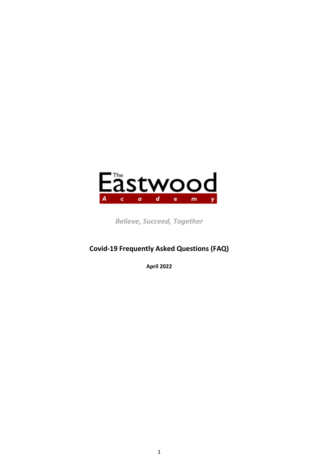

Believe, Succeed, Together

# **Covid-19 Frequently Asked Questions (FAQ)**

**April 2022**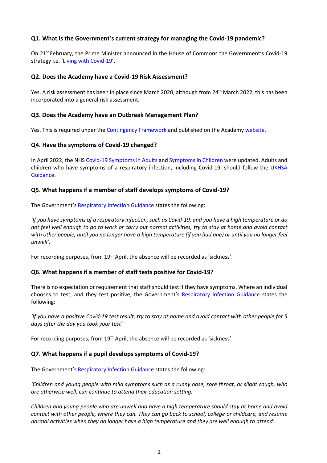# **Q1. What is the Government's current strategy for managing the Covid-19 pandemic?**

On 21<sup>st</sup> February, the Prime Minister announced in the House of Commons the Government's Covid-19 strategy i.e. ['Living with Covid-19'.](https://assets.publishing.service.gov.uk/government/uploads/system/uploads/attachment_data/file/1056229/COVID-19_Response_-_Living_with_COVID-19.pdf)

## **Q2. Does the Academy have a Covid-19 Risk Assessment?**

Yes. A risk assessment has been in place since March 2020, although from 24<sup>th</sup> March 2022, this has been incorporated into a general risk assessment.

## **Q3. Does the Academy have an Outbreak Management Plan?**

Yes. This is required under the [Contingency Framework](https://www.gov.uk/government/publications/coronavirus-covid-19-local-restrictions-in-education-and-childcare-settings?utm_source=25%20May%202021%20C19&utm_medium=Daily%20Email%20C19&utm_campaign=DfE%20C19) and published on the Academ[y website.](http://www.eastwoodacademy.co.uk/index.php/the-academy/covid-19-updates)

## **Q4. Have the symptoms of Covid-19 changed?**

In April 2022, the NH[S Covid-19 Symptoms in Adults](https://www.nhs.uk/conditions/coronavirus-covid-19/symptoms/main-symptoms/?utm_source=07%20April%202022%20C19&utm_medium=Daily%20Email%20C19&utm_campaign=DfE%20C19) an[d Symptoms in Children](https://www.nhs.uk/conditions/coronavirus-covid-19/symptoms/coronavirus-in-children/?utm_source=07%20April%202022%20C19&utm_medium=Daily%20Email%20C19&utm_campaign=DfE%20C19) were updated. Adults and children who have symptoms of a respiratory infection, including Covid-19, should follow the [UKHSA](https://www.gov.uk/guidance/people-with-symptoms-of-a-respiratory-infection-including-covid-19#symptoms-of-respiratory-infections-including-covid-19?utm_source=07%20April%202022%20C19&utm_medium=Daily%20Email%20C19&utm_campaign=DfE%20C19)  [Guidance.](https://www.gov.uk/guidance/people-with-symptoms-of-a-respiratory-infection-including-covid-19#symptoms-of-respiratory-infections-including-covid-19?utm_source=07%20April%202022%20C19&utm_medium=Daily%20Email%20C19&utm_campaign=DfE%20C19)

## **Q5. What happens if a member of staff develops symptoms of Covid-19?**

The Government's [Respiratory Infection Guidance](https://www.gov.uk/guidance/people-with-symptoms-of-a-respiratory-infection-including-covid-19?utm_source=01%20April%202022%20C19&utm_medium=Daily%20Email%20C19&utm_campaign=DfE%20C19) states the following:

*'If you have symptoms of a respiratory infection, such as Covid-19, and you have a high temperature or do not feel well enough to go to work or carry out normal activities, try to stay at home and avoid contact with other people, until you no longer have a high temperature (if you had one) or until you no longer feel unwell'.*

For recording purposes, from 19<sup>th</sup> April, the absence will be recorded as 'sickness'.

#### **Q6. What happens if a member of staff tests positive for Covid-19?**

There is no expectation or requirement that staff should test if they have symptoms. Where an individual chooses to test, and they test positive, the Government's [Respiratory Infection Guidance](https://www.gov.uk/guidance/people-with-symptoms-of-a-respiratory-infection-including-covid-19?utm_source=01%20April%202022%20C19&utm_medium=Daily%20Email%20C19&utm_campaign=DfE%20C19) states the following:

*'If you have a positive Covid-19 test result, try to stay at home and avoid contact with other people for 5 days after the day you took your test'.*

For recording purposes, from 19<sup>th</sup> April, the absence will be recorded as 'sickness'.

#### **Q7. What happens if a pupil develops symptoms of Covid-19?**

The Government's [Respiratory Infection Guidance](https://www.gov.uk/guidance/people-with-symptoms-of-a-respiratory-infection-including-covid-19?utm_source=01%20April%202022%20C19&utm_medium=Daily%20Email%20C19&utm_campaign=DfE%20C19) states the following:

*'Children and young people with mild symptoms such as a runny nose, sore throat, or slight cough, who are otherwise well, can continue to attend their education setting.*

*Children and young people who are unwell and have a high temperature should stay at home and avoid contact with other people, where they can. They can go back to school, college or childcare, and resume normal activities when they no longer have a high temperature and they are well enough to attend'.*